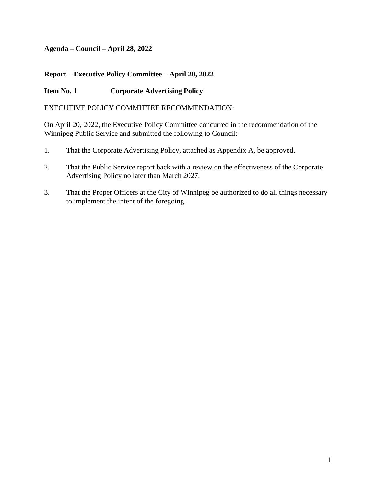#### **Agenda – Council – April 28, 2022**

#### **Report – Executive Policy Committee – April 20, 2022**

#### **Item No. 1 Corporate Advertising Policy**

#### EXECUTIVE POLICY COMMITTEE RECOMMENDATION:

On April 20, 2022, the Executive Policy Committee concurred in the recommendation of the Winnipeg Public Service and submitted the following to Council:

- 1. That the Corporate Advertising Policy, attached as Appendix A, be approved.
- 2. That the Public Service report back with a review on the effectiveness of the Corporate Advertising Policy no later than March 2027.
- 3. That the Proper Officers at the City of Winnipeg be authorized to do all things necessary to implement the intent of the foregoing.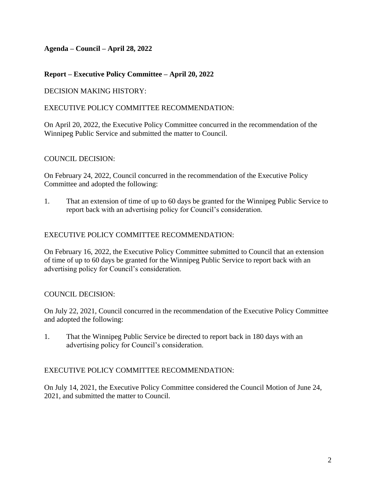#### **Agenda – Council – April 28, 2022**

#### **Report – Executive Policy Committee – April 20, 2022**

#### DECISION MAKING HISTORY:

#### EXECUTIVE POLICY COMMITTEE RECOMMENDATION:

On April 20, 2022, the Executive Policy Committee concurred in the recommendation of the Winnipeg Public Service and submitted the matter to Council.

#### COUNCIL DECISION:

On February 24, 2022, Council concurred in the recommendation of the Executive Policy Committee and adopted the following:

1. That an extension of time of up to 60 days be granted for the Winnipeg Public Service to report back with an advertising policy for Council's consideration.

#### EXECUTIVE POLICY COMMITTEE RECOMMENDATION:

On February 16, 2022, the Executive Policy Committee submitted to Council that an extension of time of up to 60 days be granted for the Winnipeg Public Service to report back with an advertising policy for Council's consideration.

#### COUNCIL DECISION:

On July 22, 2021, Council concurred in the recommendation of the Executive Policy Committee and adopted the following:

1. That the Winnipeg Public Service be directed to report back in 180 days with an advertising policy for Council's consideration.

#### EXECUTIVE POLICY COMMITTEE RECOMMENDATION:

On July 14, 2021, the Executive Policy Committee considered the Council Motion of June 24, 2021, and submitted the matter to Council.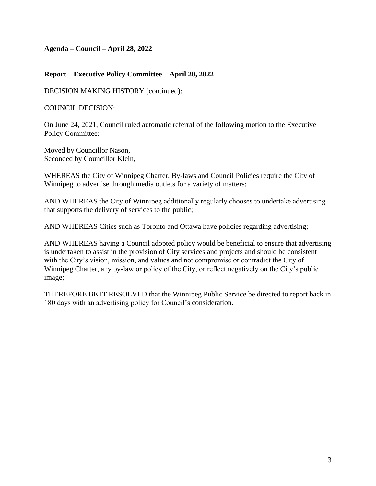**Agenda – Council – April 28, 2022**

#### **Report – Executive Policy Committee – April 20, 2022**

DECISION MAKING HISTORY (continued):

COUNCIL DECISION:

On June 24, 2021, Council ruled automatic referral of the following motion to the Executive Policy Committee:

Moved by Councillor Nason, Seconded by Councillor Klein,

WHEREAS the City of Winnipeg Charter, By-laws and Council Policies require the City of Winnipeg to advertise through media outlets for a variety of matters;

AND WHEREAS the City of Winnipeg additionally regularly chooses to undertake advertising that supports the delivery of services to the public;

AND WHEREAS Cities such as Toronto and Ottawa have policies regarding advertising;

AND WHEREAS having a Council adopted policy would be beneficial to ensure that advertising is undertaken to assist in the provision of City services and projects and should be consistent with the City's vision, mission, and values and not compromise or contradict the City of Winnipeg Charter, any by-law or policy of the City, or reflect negatively on the City's public image;

THEREFORE BE IT RESOLVED that the Winnipeg Public Service be directed to report back in 180 days with an advertising policy for Council's consideration.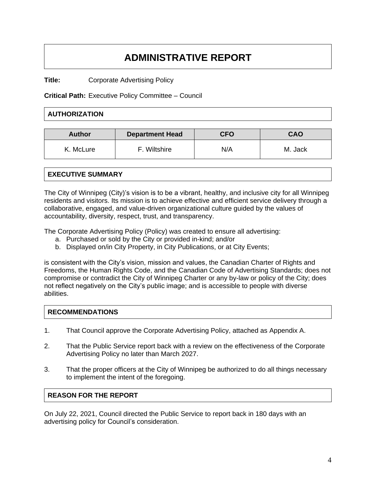# **ADMINISTRATIVE REPORT**

**Title:** Corporate Advertising Policy

**Critical Path:** Executive Policy Committee – Council

#### **AUTHORIZATION**

| <b>Author</b> | <b>Department Head</b> | <b>CFO</b> | CAO     |
|---------------|------------------------|------------|---------|
| K. McLure     | Wiltshire              | N/A        | M. Jack |

#### **EXECUTIVE SUMMARY**

The City of Winnipeg (City)'s vision is to be a vibrant, healthy, and inclusive city for all Winnipeg residents and visitors. Its mission is to achieve effective and efficient service delivery through a collaborative, engaged, and value-driven organizational culture guided by the values of accountability, diversity, respect, trust, and transparency.

The Corporate Advertising Policy (Policy) was created to ensure all advertising:

- a. Purchased or sold by the City or provided in-kind; and/or
- b. Displayed on/in City Property, in City Publications, or at City Events;

is consistent with the City's vision, mission and values, the Canadian Charter of Rights and Freedoms, the Human Rights Code, and the Canadian Code of Advertising Standards; does not compromise or contradict the City of Winnipeg Charter or any by-law or policy of the City; does not reflect negatively on the City's public image; and is accessible to people with diverse abilities.

#### **RECOMMENDATIONS**

- 1. That Council approve the Corporate Advertising Policy, attached as Appendix A.
- 2. That the Public Service report back with a review on the effectiveness of the Corporate Advertising Policy no later than March 2027.
- 3. That the proper officers at the City of Winnipeg be authorized to do all things necessary to implement the intent of the foregoing.

#### **REASON FOR THE REPORT**

On July 22, 2021, Council directed the Public Service to report back in 180 days with an advertising policy for Council's consideration.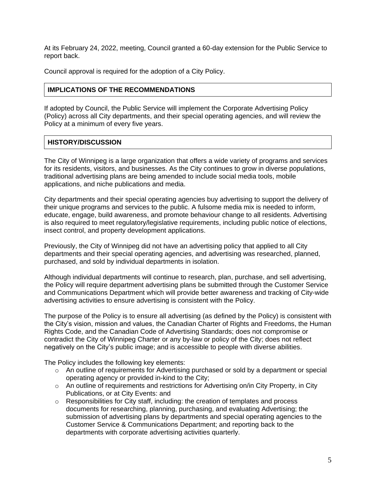At its February 24, 2022, meeting, Council granted a 60-day extension for the Public Service to report back.

Council approval is required for the adoption of a City Policy.

#### **IMPLICATIONS OF THE RECOMMENDATIONS**

If adopted by Council, the Public Service will implement the Corporate Advertising Policy (Policy) across all City departments, and their special operating agencies, and will review the Policy at a minimum of every five years.

#### **HISTORY/DISCUSSION**

The City of Winnipeg is a large organization that offers a wide variety of programs and services for its residents, visitors, and businesses. As the City continues to grow in diverse populations, traditional advertising plans are being amended to include social media tools, mobile applications, and niche publications and media.

City departments and their special operating agencies buy advertising to support the delivery of their unique programs and services to the public. A fulsome media mix is needed to inform, educate, engage, build awareness, and promote behaviour change to all residents. Advertising is also required to meet regulatory/legislative requirements, including public notice of elections, insect control, and property development applications.

Previously, the City of Winnipeg did not have an advertising policy that applied to all City departments and their special operating agencies, and advertising was researched, planned, purchased, and sold by individual departments in isolation.

Although individual departments will continue to research, plan, purchase, and sell advertising, the Policy will require department advertising plans be submitted through the Customer Service and Communications Department which will provide better awareness and tracking of City-wide advertising activities to ensure advertising is consistent with the Policy.

The purpose of the Policy is to ensure all advertising (as defined by the Policy) is consistent with the City's vision, mission and values, the Canadian Charter of Rights and Freedoms, the Human Rights Code, and the Canadian Code of Advertising Standards; does not compromise or contradict the City of Winnipeg Charter or any by-law or policy of the City; does not reflect negatively on the City's public image; and is accessible to people with diverse abilities.

The Policy includes the following key elements:

- $\circ$  An outline of requirements for Advertising purchased or sold by a department or special operating agency or provided in-kind to the City;
- $\circ$  An outline of requirements and restrictions for Advertising on/in City Property, in City Publications, or at City Events: and
- $\circ$  Responsibilities for City staff, including: the creation of templates and process documents for researching, planning, purchasing, and evaluating Advertising; the submission of advertising plans by departments and special operating agencies to the Customer Service & Communications Department; and reporting back to the departments with corporate advertising activities quarterly.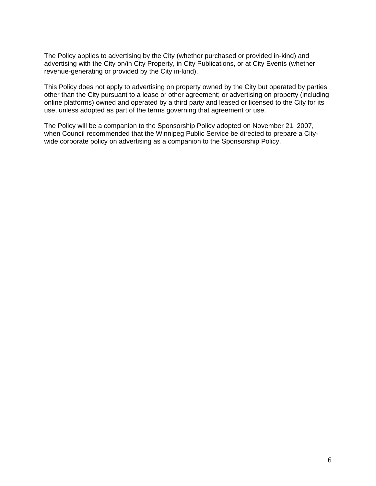The Policy applies to advertising by the City (whether purchased or provided in-kind) and advertising with the City on/in City Property, in City Publications, or at City Events (whether revenue-generating or provided by the City in-kind).

This Policy does not apply to advertising on property owned by the City but operated by parties other than the City pursuant to a lease or other agreement; or advertising on property (including online platforms) owned and operated by a third party and leased or licensed to the City for its use, unless adopted as part of the terms governing that agreement or use.

The Policy will be a companion to the Sponsorship Policy adopted on November 21, 2007, when Council recommended that the Winnipeg Public Service be directed to prepare a Citywide corporate policy on advertising as a companion to the Sponsorship Policy.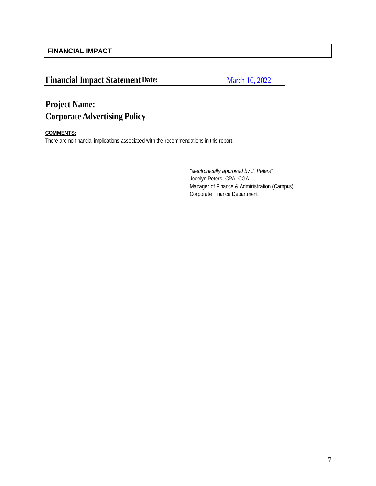**FINANCIAL IMPACT**

### **Financial Impact Statement Date:**

March 10, 2022

## **Project Name: Corporate Advertising Policy**

#### **COMMENTS:**

There are no financial implications associated with the recommendations in this report.

*"electronically approved by J. Peters"*

Jocelyn Peters, CPA, CGA Manager of Finance & Administration (Campus) Corporate Finance Department